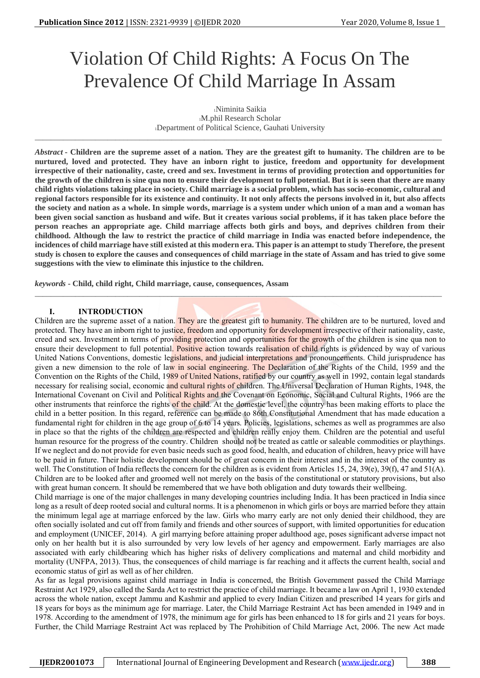# Violation Of Child Rights: A Focus On The Prevalence Of Child Marriage In Assam

<sup>1</sup>Niminita Saikia <sup>1</sup>M.phil Research Scholar <sup>1</sup>Department of Political Science, Gauhati University

\_\_\_\_\_\_\_\_\_\_\_\_\_\_\_\_\_\_\_\_\_\_\_\_\_\_\_\_\_\_\_\_\_\_\_\_\_\_\_\_\_\_\_\_\_\_\_\_\_\_\_\_\_\_\_\_\_\_\_\_\_\_\_\_\_\_\_\_\_\_\_\_\_\_\_\_\_\_\_\_\_\_\_\_\_\_\_\_\_\_\_\_\_\_\_\_\_\_\_\_\_

*Abstract* **- Children are the supreme asset of a nation. They are the greatest gift to humanity. The children are to be nurtured, loved and protected. They have an inborn right to justice, freedom and opportunity for development irrespective of their nationality, caste, creed and sex. Investment in terms of providing protection and opportunities for the growth of the children is sine qua non to ensure their development to full potential. But it is seen that there are many child rights violations taking place in society. Child marriage is a social problem, which has socio-economic, cultural and regional factors responsible for its existence and continuity. It not only affects the persons involved in it, but also affects the society and nation as a whole. In simple words, marriage is a system under which union of a man and a woman has been given social sanction as husband and wife. But it creates various social problems, if it has taken place before the person reaches an appropriate age. Child marriage affects both girls and boys, and deprives children from their childhood. Although the law to restrict the practice of child marriage in India was enacted before independence, the incidences of child marriage have still existed at this modern era. This paper is an attempt to study Therefore, the present study is chosen to explore the causes and consequences of child marriage in the state of Assam and has tried to give some suggestions with the view to eliminate this injustice to the children.**

*\_\_\_\_\_\_\_\_\_\_\_\_\_\_\_\_\_\_\_\_\_\_\_\_\_\_\_\_\_\_\_\_\_\_\_\_\_\_\_\_\_\_\_\_\_\_\_\_\_\_\_\_\_\_\_\_\_\_\_\_\_\_\_\_\_\_\_\_\_\_\_\_\_\_\_\_\_\_\_\_\_\_\_\_\_\_\_\_\_\_\_\_\_\_\_\_\_\_\_\_\_*

*keywords* **- Child, child right, Child marriage, cause, consequences, Assam**

# **I. INTRODUCTION**

Children are the supreme asset of a nation. They are the greatest gift to humanity. The children are to be nurtured, loved and protected. They have an inborn right to justice, freedom and opportunity for development irrespective of their nationality, caste, creed and sex. Investment in terms of providing protection and opportunities for the growth of the children is sine qua non to ensure their development to full potential. Positive action towards realisation of child rights is evidenced by way of various United Nations Conventions, domestic legislations, and judicial interpretations and pronouncements. Child jurisprudence has given a new dimension to the role of law in social engineering. The Declaration of the Rights of the Child, 1959 and the Convention on the Rights of the Child, 1989 of United Nations, ratified by our country as well in 1992, contain legal standards necessary for realising social, economic and cultural rights of children. The Universal Declaration of Human Rights, 1948, the International Covenant on Civil and Political Rights and the Covenant on Economic, Social and Cultural Rights, 1966 are the other instruments that reinforce the rights of the child. At the domestic level, the country has been making efforts to place the child in a better position. In this regard, reference can be made to 86th Constitutional Amendment that has made education a fundamental right for children in the age group of 6 to 14 years. Policies, legislations, schemes as well as programmes are also in place so that the rights of the children are respected and children really enjoy them. Children are the potential and useful human resource for the progress of the country. Children should not be treated as cattle or saleable commodities or playthings. If we neglect and do not provide for even basic needs such as good food, health, and education of children, heavy price will have to be paid in future. Their holistic development should be of great concern in their interest and in the interest of the country as well. The Constitution of India reflects the concern for the children as is evident from Articles 15, 24, 39(e), 39(f), 47 and 51(A). Children are to be looked after and groomed well not merely on the basis of the constitutional or statutory provisions, but also with great human concern. It should be remembered that we have both obligation and duty towards their wellbeing.

Child marriage is one of the major challenges in many developing countries including India. It has been practiced in India since long as a result of deep rooted social and cultural norms. It is a phenomenon in which girls or boys are married before they attain the minimum legal age at marriage enforced by the law. Girls who marry early are not only denied their childhood, they are often socially isolated and cut off from family and friends and other sources of support, with limited opportunities for education and employment (UNICEF, 2014). A girl marrying before attaining proper adulthood age, poses significant adverse impact not only on her health but it is also surrounded by very low levels of her agency and empowerment. Early marriages are also associated with early childbearing which has higher risks of delivery complications and maternal and child morbidity and mortality (UNFPA, 2013). Thus, the consequences of child marriage is far reaching and it affects the current health, social and economic status of girl as well as of her children.

As far as legal provisions against child marriage in India is concerned, the British Government passed the Child Marriage Restraint Act 1929, also called the Sarda Act to restrict the practice of child marriage. It became a law on April 1, 1930 extended across the whole nation, except Jammu and Kashmir and applied to every Indian Citizen and prescribed 14 years for girls and 18 years for boys as the minimum age for marriage. Later, the Child Marriage Restraint Act has been amended in 1949 and in 1978. According to the amendment of 1978, the minimum age for girls has been enhanced to 18 for girls and 21 years for boys. Further, the Child Marriage Restraint Act was replaced by The Prohibition of Child Marriage Act, 2006. The new Act made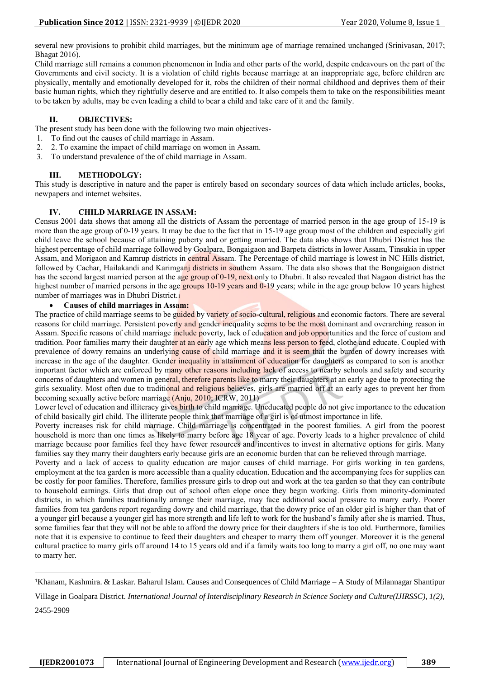several new provisions to prohibit child marriages, but the minimum age of marriage remained unchanged (Srinivasan, 2017; Bhagat 2016).

Child marriage still remains a common phenomenon in India and other parts of the world, despite endeavours on the part of the Governments and civil society. It is a violation of child rights because marriage at an inappropriate age, before children are physically, mentally and emotionally developed for it, robs the children of their normal childhood and deprives them of their basic human rights, which they rightfully deserve and are entitled to. It also compels them to take on the responsibilities meant to be taken by adults, may be even leading a child to bear a child and take care of it and the family.

## **II. OBJECTIVES:**

The present study has been done with the following two main objectives-

- 1. To find out the causes of child marriage in Assam.
- 2. 2. To examine the impact of child marriage on women in Assam.
- 3. To understand prevalence of the of child marriage in Assam.

## **III. METHODOLGY:**

This study is descriptive in nature and the paper is entirely based on secondary sources of data which include articles, books, newpapers and internet websites.

## **IV. CHILD MARRIAGE IN ASSAM:**

Census 2001 data shows that among all the districts of Assam the percentage of married person in the age group of 15-19 is more than the age group of 0-19 years. It may be due to the fact that in 15-19 age group most of the children and especially girl child leave the school because of attaining puberty and or getting married. The data also shows that Dhubri District has the highest percentage of child marriage followed by Goalpara, Bongaigaon and Barpeta districts in lower Assam, Tinsukia in upper Assam, and Morigaon and Kamrup districts in central Assam. The Percentage of child marriage is lowest in NC Hills district, followed by Cachar, Hailakandi and Karimganj districts in southern Assam. The data also shows that the Bongaigaon district has the second largest married person at the age group of 0-19, next only to Dhubri. It also revealed that Nagaon district has the highest number of married persons in the age groups 10-19 years and 0-19 years; while in the age group below 10 years highest number of marriages was in Dhubri District.<sup>1</sup>

#### • **Causes of child marriages in Assam:**

The practice of child marriage seems to be guided by variety of socio-cultural, religious and economic factors. There are several reasons for child marriage. Persistent poverty and gender inequality seems to be the most dominant and overarching reason in Assam. Specific reasons of child marriage include poverty, lack of education and job opportunities and the force of custom and tradition. Poor families marry their daughter at an early age which means less person to feed, clothe and educate. Coupled with prevalence of dowry remains an underlying cause of child marriage and it is seem that the burden of dowry increases with increase in the age of the daughter. Gender inequality in attainment of education for daughters as compared to son is another important factor which are enforced by many other reasons including lack of access to nearby schools and safety and security concerns of daughters and women in general, therefore parents like to marry their daughters at an early age due to protecting the girls sexuality. Most often due to traditional and religious believes, girls are married off at an early ages to prevent her from becoming sexually active before marriage (Anju, 2010; ICRW, 2011)

Lower level of education and illiteracy gives birth to child marriage. Uneducated people do not give importance to the education of child basically girl child. The illiterate people think that marriage of a girl is of utmost importance in life.

Poverty increases risk for child marriage. Child marriage is concentrated in the poorest families. A girl from the poorest household is more than one times as likely to marry before age 18 year of age. Poverty leads to a higher prevalence of child marriage because poor families feel they have fewer resources and incentives to invest in alternative options for girls. Many families say they marry their daughters early because girls are an economic burden that can be relieved through marriage.

Poverty and a lack of access to quality education are major causes of child marriage. For girls working in tea gardens, employment at the tea garden is more accessible than a quality education. Education and the accompanying fees for supplies can be costly for poor families. Therefore, families pressure girls to drop out and work at the tea garden so that they can contribute to household earnings. Girls that drop out of school often elope once they begin working. Girls from minority-dominated districts, in which families traditionally arrange their marriage, may face additional social pressure to marry early. Poorer families from tea gardens report regarding dowry and child marriage, that the dowry price of an older girl is higher than that of a younger girl because a younger girl has more strength and life left to work for the husband's family after she is married. Thus, some families fear that they will not be able to afford the dowry price for their daughters if she is too old. Furthermore, families note that it is expensive to continue to feed their daughters and cheaper to marry them off younger. Moreover it is the general cultural practice to marry girls off around 14 to 15 years old and if a family waits too long to marry a girl off, no one may want to marry her.

<sup>1</sup>Khanam, Kashmira. & Laskar. Baharul Islam. Causes and Consequences of Child Marriage – A Study of Milannagar Shantipur

Village in Goalpara District*. International Journal of Interdisciplinary Research in Science Society and Culture(IJIRSSC), 1(2),* 2455-2909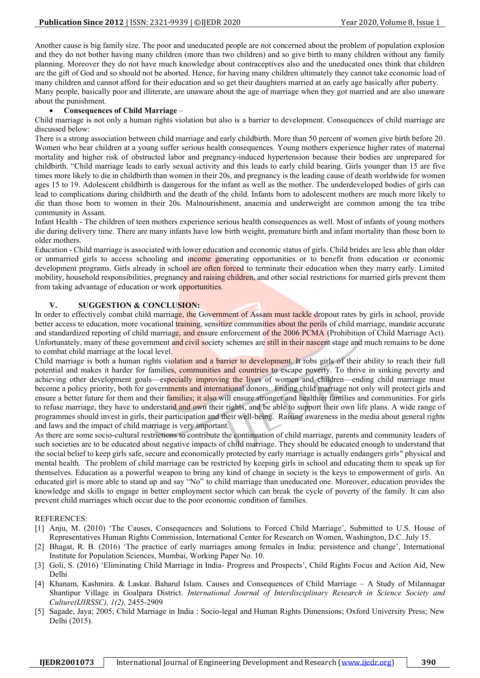Another cause is big family size. The poor and uneducated people are not concerned about the problem of population explosion and they do not bother having many children (more than two children) and so give birth to many children without any family planning. Moreover they do not have much knowledge about contraceptives also and the uneducated ones think that children are the gift of God and so should not be aborted. Hence, for having many children ultimately they cannot take economic load of many children and cannot afford for their education and so get their daughters married at an early age basically after puberty. Many people, basically poor and illiterate, are unaware about the age of marriage when they got married and are also unaware about the punishment.

#### • **Consequences of Child Marriage** –

Child marriage is not only a human rights violation but also is a barrier to development. Consequences of child marriage are discussed below:

There is a strong association between child marriage and early childbirth. More than 50 percent of women give birth before 20. Women who bear children at a young suffer serious health consequences. Young mothers experience higher rates of maternal mortality and higher risk of obstructed labor and pregnancy-induced hypertension because their bodies are unprepared for childbirth. "Child marriage leads to early sexual activity and this leads to early child bearing. Girls younger than 15 are five times more likely to die in childbirth than women in their 20s, and pregnancy is the leading cause of death worldwide for women ages 15 to 19. Adolescent childbirth is dangerous for the infant as well as the mother. The underdeveloped bodies of girls can lead to complications during childbirth and the death of the child. Infants born to adolescent mothers are much more likely to die than those born to women in their 20s. Malnourishment, anaemia and underweight are common among the tea tribe community in Assam.

Infant Health - The children of teen mothers experience serious health consequences as well. Most of infants of young mothers die during delivery time. There are many infants have low birth weight, premature birth and infant mortality than those born to older mothers.

Education - Child marriage is associated with lower education and economic status of girls. Child brides are less able than older or unmarried girls to access schooling and income generating opportunities or to benefit from education or economic development programs. Girls already in school are often forced to terminate their education when they marry early. Limited mobility, household responsibilities, pregnancy and raising children, and other social restrictions for married girls prevent them from taking advantage of education or work opportunities.

## **V. SUGGESTION & CONCLUSION:**

In order to effectively combat child marriage, the Government of Assam must tackle dropout rates by girls in school, provide better access to education, more vocational training, sensitize communities about the perils of child marriage, mandate accurate and standardized reporting of child marriage, and ensure enforcement of the 2006 PCMA (Prohibition of Child Marriage Act). Unfortunately, many of these government and civil society schemes are still in their nascent stage and much remains to be done to combat child marriage at the local level.

Child marriage is both a human rights violation and a barrier to development. It robs girls of their ability to reach their full potential and makes it harder for families, communities and countries to escape poverty. To thrive in sinking poverty and achieving other development goals—especially improving the lives of women and children—ending child marriage must become a policy priority, both for governments and international donors. Ending child marriage not only will protect girls and ensure a better future for them and their families; it also will ensure stronger and healthier families and communities. For girls to refuse marriage, they have to understand and own their rights, and be able to support their own life plans. A wide range of programmes should invest in girls, their participation and their well-being. Raising awareness in the media about general rights and laws and the impact of child marriage is very important.

As there are some socio-cultural restrictions to contribute the continuation of child marriage, parents and community leaders of such societies are to be educated about negative impacts of child marriage. They should be educated enough to understand that the social belief to keep girls safe, secure and economically protected by early marriage is actually endangers girls" physical and mental health. The problem of child marriage can be restricted by keeping girls in school and educating them to speak up for themselves. Education as a powerful weapon to bring any kind of change in society is the keys to empowerment of girls. An educated girl is more able to stand up and say "No" to child marriage than uneducated one. Moreover, education provides the knowledge and skills to engage in better employment sector which can break the cycle of poverty of the family. It can also prevent child marriages which occur due to the poor economic condition of families.

#### REFERENCES:

- [1] Anju, M. (2010) 'The Causes, Consequences and Solutions to Forced Child Marriage', Submitted to U.S. House of Representatives Human Rights Commission, International Center for Research on Women, Washington, D.C. July 15.
- [2] Bhagat, R. B. (2016) 'The practice of early marriages among females in India: persistence and change', International Institute for Population Sciences, Mumbai, Working Paper No. 10.
- [3] Goli, S. (2016) 'Eliminating Child Marriage in India- Progress and Prospects', Child Rights Focus and Action Aid, New Delhi
- [4] Khanam, Kashmira. & Laskar. Baharul Islam. Causes and Consequences of Child Marriage A Study of Milannagar Shantipur Village in Goalpara District*. International Journal of Interdisciplinary Research in Science Society and Culture(IJIRSSC), 1(2),* 2455-2909
- [5] Sagade, Jaya; 2005; Child Marriage in India : Socio-legal and Human Rights Dimensions; Oxford University Press; New Delhi (2015).